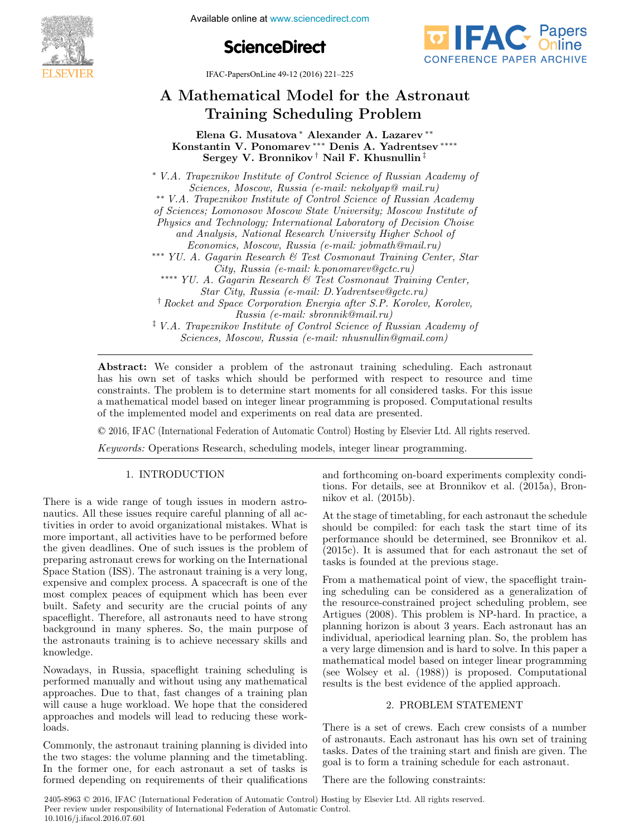Available online at www.sciencedirect.com **IFACTURE ON MANUFACTURING** 





IFAC-PapersOnLine 49-12 (2016) 221–225

# A Mathematical Model for the Astronaut A Mathematical Model for the Astronaut A Mathematical Model for the Astronaut Training Scheduling Problem Training Scheduling Problem Training Scheduling Problem A Mathematical Model for the Astronaut

Elena G. Musatova ∗ Alexander A. Lazarev ∗∗ Elena G. Musatova ∗ Alexander A. Lazarev ∗∗ Elena G. Musatova ∗ Alexander A. Lazarev ∗∗ Konstantin V. Ponomarev ∗∗∗ Denis A. Yadrentsev ∗∗∗∗ Konstantin V. Ponomarev ∗∗∗ Denis A. Yadrentsev ∗∗∗∗ Konstantin V. Ponomarev ∗∗∗ Denis A. Yadrentsev ∗∗∗∗ Elena G. Musatova ∗ Alexander A. Lazarev ∗∗  $\frac{1}{2}$ Sergey V. Bronnikov † Denis A. Yadrentsev Sergey V. Bronnikov † Nail F. Khusnullin ‡  $S_{\text{avg}}$  v. Bronnikov † Nail  $\text{F}$  Khusnullin  $\text{F}$ 

Sciences, Moscow, Russia (e-mail: nekolyap@ mail.ru) \*\* V.A. Trapeznikov Institute of Control Science of Russian Academy of Sciences; Lomonosov Moscow State University; Moscow Institute of Physics and Technology; International Laboratory of Decision Choise and Analysis, National Research University Higher School of Economics, Moscow, Russia (e-mail: jobmath@mail.ru) Economics, Moscow, Russia (e-mail: jobmath@mail.ru)<br>A. Gagarin Research & Test Cosmonaut Training Cen  $\v{City}, \textit{Russia (e-mail: k.ponomarev@gctc.ru)}$ City, Russia (e-mail: k.ponomarev@gctc.ru) City, Russia (e-mail: k.ponomarev@gctc.ru) *Star City, Russia (e-mail: D.Yadrentsev@gctc.ru)* Star City, Russia (e-mail: D.Yadrentsev@gctc.ru) Star City, Russia (e-mail: D.Yadrentsev@gctc.ru) † Rocket and Space Corporation Energia after S.P. Korolev, Korolev, Star City, Russia (e-mail: D.Yadrentsev@gctc.ru) Russia (e-mail: sbronnik@mail.ru) russia (e-mail: sbronnik@mail.ru)<br># V.A. Trapeznikov Institute of Control Science of Russian Academy of <sup>1</sup> V.A. Trapeznikov Institute of Control Setence of Russian Academy of Sciences. Moscow. Russia (e-mail: nhusnullin@amail.com) Sciences, Moscow, Russia (e-mail: nhusnullin@gmail.com) ∗∗∗ YU. A. Gagarin Research & Test Cosmonaut Training Center, Star ∗∗∗ YU. A. Gagarin Research & Test Cosmonaut Training Center, Star Economics, Moscow, Russia (e-mail: jobmath@mail.ru) ∗∗∗∗ YU. A. Gagarin Research & Test Cosmonaut Training Center, ∗∗∗∗ YU. A. Gagarin Research & Test Cosmonaut Training Center, City, Russia (e-mail: k.ponomarev@gctc.ru)  $Sciences, ~Moscow, ~Russia ~(e-mail:~nhusnullin@gmail.com)$ ∗ V.A. Trapeznikov Institute of Control Science of Russian Academy of Sciences, Moscow, Russia (e-mail: nhusnullin@gmail.com)

has his own set of tasks which should be performed with respect to resource and time constraints. The problem is to determine start moments for all considered tasks. For this issue a mathematical model based on integer linear programming is proposed. Computational results a mathematical model based on integer linear programming is proposed. Computational results<br>of the implemented model and experiments on real data are presented. of the implemented model and experiments on real data are presented. Abstract: We consider a problem of the astronaut training scheduling. Each astronaut

© 2016, IFAC (International Federation of Automatic Control) Hosting by Elsevier Ltd. All rights reserved. of the implemented model and experiments of the implemented.<br>Control Hosting by Fleet

Keywords: Operations Research, scheduling models, integer linear programming. Keywords: Operations Research, scheduling models, integer linear programming.

## 1. INTRODUCTION 1. INTRODUCTION 1. INTRODUCTION 1. INTRODUCTION

There is a wide range of tough issues in modern astro-There is a wide range of tough issues in modern astro-There is a wide range of tough issues in modern astronautics. All these issues require careful planning of all activities in order to avoid organizational mistakes. What is more important, all activities have to be performed before the given deadlines. One of such issues is the problem of preparing astronaut crews for working on the International Space Station (ISS). The astronaut training is a very long, expensive and complex process. A spacecraft is one of the most complex peaces of equipment which has been ever built. Safety and security are the crucial points of any spaceflight. Therefore, all astronauts need to have strong background in many spheres. So, the main purpose of the astronauts training is to achieve necessary skills and knowledge. knowledge. knowledge. There is a wide range of tough issues in modern astro-

Nowadays, in Russia, spaceflight training scheduling is Nowadays, in Russia, spaceflight training scheduling is Nowadays, in Russia, spaceflight training scheduling is performed manually and without using any mathematical approaches. Due to that, fast changes of a training plan will cause a huge workload. We hope that the considered approaches and models will lead to reducing these workloads. loads. loads. Nowadays, in Russia, spaceflight training scheduling is

Commonly, the astronaut training planning is divided into Commonly, the astronaut training planning is divided into Commonly, the astronaut training planning is divided into the two stages: the volume planning and the timetabling. In the former one, for each astronaut a set of tasks is formed depending on requirements of their qualifications formed depending on requirements of their qualifications formed depending on requirements of their qualifications Commonly, the astronaut training planning is divided into and forthcoming on-board experiments complexity condi-and forthcoming on-board experiments complexity condi-and forthcoming on-board experiments complexity conditions. For details, see at Bronnikov et al. (2015a), Bron-tions. For details, see at Bronnikov et al. (2015a), Bron-nikov et al. (2015b). tions. For details, see at Bronnikov et al. (2015a), Bronnikov et al. (2015b). nikov et al. (2015b). nikov et al. (2015b). and forthcoming on-board experiments complexity condi-

At the stage of timetabling, for each astronaut the schedule At the stage of timetabling, for each astronaut the schedule At the stage of timetabling, for each astronaut the schedule should be compiled: for each task the start time of its performance should be determined, see Bronnikov et al.  $(2015c)$ . It is assumed that for each astronaut the set of tasks is founded at the previous stage. tasks is founded at the previous stage. tasks is founded at the previous stage. At the stage of timetabling, for each astronaut the schedule

From a mathematical point of view, the spaceflight train-From a mathematical point of view, the spaceflight train-From a mathematical point of view, the spaceflight training scheduling can be considered as a generalization of ing scheduling can be considered as a generalization of the resource-constrained project scheduling problem, see ing scheduling can be considered as a generalization of the resource-constrained project scheduling problem, see Artigues (2008). This problem is NP-hard. In practice, a planning horizon is about 3 years. Each astronaut has an individual, aperiodical learning plan. So, the problem has a very large dimension and is hard to solve. In this paper a mathematical model based on integer linear programming (see Wolsey et al. (1988)) is proposed. Computational results is the best evidence of the applied approach. results is the best evidence of the applied approach. results is the best evidence of the applied approach. From a mathematical point of view, the spaceflight train-

## 2. PROBLEM STATEMENT 2. PROBLEM STATEMENT 2. PROBLEM STATEMENT 2. PROBLEM STATEMENT

There is a set of crews. Each crew consists of a number There is a set of crews. Each crew consists of a number There is a set of crews. Each crew consists of a number of astronauts. Each astronaut has his own set of training tasks. Dates of the training start and finish are given. The goal is to form a training schedule for each astronaut. goal is to form a training schedule for each astronaut. goal is to form a training schedule for each astronaut. There is a set of crews. Each crew consists of a number

There are the following constraints: There are the following constraints: There are the following constraints: There are the following constraints: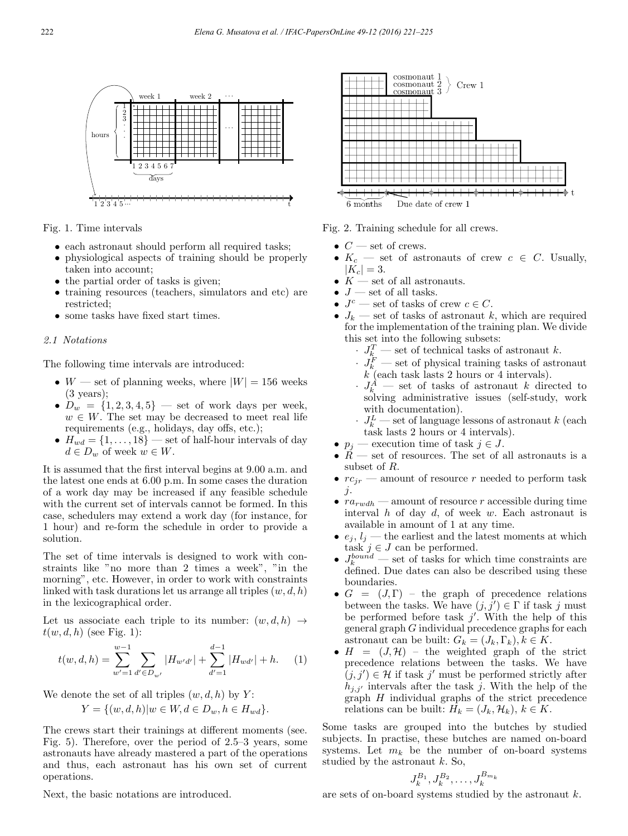

Fig. 1. Time intervals

- each astronaut should perform all required tasks;
- physiological aspects of training should be properly taken into account;
- the partial order of tasks is given;
- training resources (teachers, simulators and etc) are restricted;
- some tasks have fixed start times.

### 2.1 Notations

The following time intervals are introduced:

- W set of planning weeks, where  $|W| = 156$  weeks (3 years);
- $D_w = \{1, 2, 3, 4, 5\}$  set of work days per week,  $w \in W$ . The set may be decreased to meet real life requirements (e.g., holidays, day offs, etc.);
- $H_{wd} = \{1, \ldots, 18\}$  set of half-hour intervals of day  $d \in D_w$  of week  $w \in W$ .

It is assumed that the first interval begins at 9.00 a.m. and the latest one ends at 6.00 p.m. In some cases the duration of a work day may be increased if any feasible schedule with the current set of intervals cannot be formed. In this case, schedulers may extend a work day (for instance, for 1 hour) and re-form the schedule in order to provide a solution.

The set of time intervals is designed to work with constraints like "no more than 2 times a week", "in the morning", etc. However, in order to work with constraints linked with task durations let us arrange all triples  $(w, d, h)$ in the lexicographical order.

Let us associate each triple to its number:  $(w, d, h) \rightarrow$  $t(w, d, h)$  (see Fig. 1):

$$
t(w,d,h) = \sum_{w'=1}^{w-1} \sum_{d' \in D_{w'}} |H_{w'd'}| + \sum_{d'=1}^{d-1} |H_{wd'}| + h. \tag{1}
$$

We denote the set of all triples  $(w, d, h)$  by Y:

$$
Y = \{(w, d, h) | w \in W, d \in D_w, h \in H_{wd}\}.
$$

The crews start their trainings at different moments (see. Fig. 5). Therefore, over the period of 2.5–3 years, some astronauts have already mastered a part of the operations and thus, each astronaut has his own set of current operations.



Fig. 2. Training schedule for all crews.

- $\bullet \ C$  set of crews.
- $K_c$  set of astronauts of crew  $c \in C$ . Usually,  $|K_c| = 3.$
- $K$  set of all astronauts.
- $J$  set of all tasks.
- $J^c$  set of tasks of crew  $c \in C$ .
- $J_k$  set of tasks of astronaut k, which are required for the implementation of the training plan. We divide this set into the following subsets:
	- $\cdot$   $J_k^T$  set of technical tasks of astronaut k.
	- $\cdot$  J<sub>k</sub> set of physical training tasks of astronaut  $k^{\prime}$  (each task lasts 2 hours or 4 intervals).
	- $J_k^A$  set of tasks of astronaut k directed to solving administrative issues (self-study, work with documentation).
	- $J_k^L$  set of language lessons of astronaut k (each task lasts 2 hours or 4 intervals).
- $p_j$  execution time of task  $j \in J$ .
- $\ddot{R}$  set of resources. The set of all astronauts is a subset of R.
- $rc_{ir}$  amount of resource r needed to perform task  $\dot{j}$ .
- $ra_{rwdh}$  amount of resource r accessible during time interval  $h$  of day  $d$ , of week  $w$ . Each astronaut is available in amount of 1 at any time.
- $e_i, l_i$  the earliest and the latest moments at which task  $j \in J$  can be performed.
- $J_k^{bound}$  set of tasks for which time constraints are defined. Due dates can also be described using these boundaries.
- $G = (J, \Gamma)$  the graph of precedence relations between the tasks. We have  $(j, j') \in \Gamma$  if task j must be performed before task  $j'$ . With the help of this general graph G individual precedence graphs for each astronaut can be built:  $G_k = (J_k, \Gamma_k)$ ,  $k \in K$ .
- $H = (J, \mathcal{H})$  the weighted graph of the strict precedence relations between the tasks. We have  $(j, j') \in \mathcal{H}$  if task j' must be performed strictly after  $h_{j,j'}$  intervals after the task j. With the help of the  $graph$   $H$  individual graphs of the strict precedence relations can be built:  $H_k = (J_k, \mathcal{H}_k)$ ,  $k \in K$ .

Some tasks are grouped into the butches by studied subjects. In practise, these butches are named on-board systems. Let  $m_k$  be the number of on-board systems studied by the astronaut  $k$ . So,

$$
J_k^{B_1}, J_k^{B_2}, \ldots, J_k^{B_{m_k}}
$$

Next, the basic notations are introduced.

are sets of on-board systems studied by the astronaut k.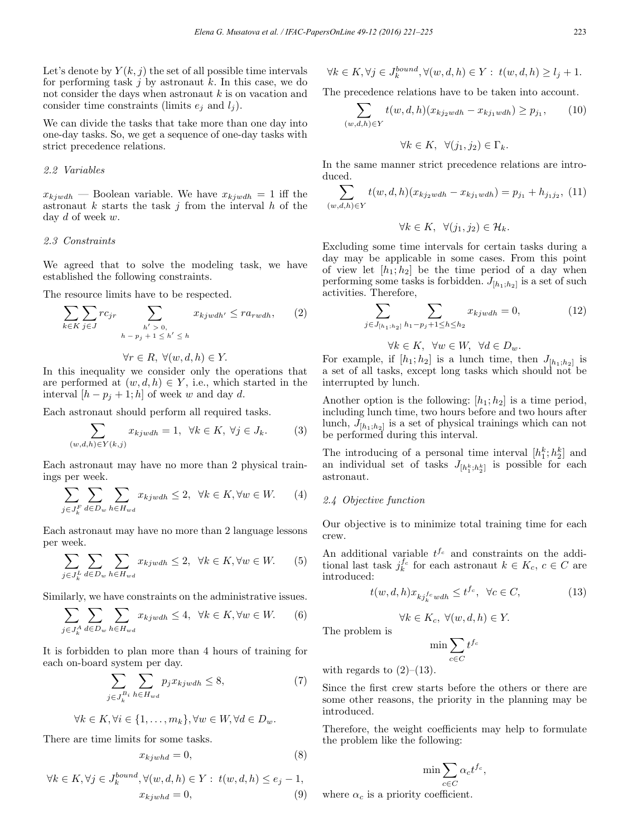Let's denote by  $Y(k, j)$  the set of all possible time intervals for performing task  $j$  by astronaut  $k$ . In this case, we do not consider the days when astronaut  $k$  is on vacation and consider time constraints (limits  $e_i$  and  $l_i$ ).

We can divide the tasks that take more than one day into one-day tasks. So, we get a sequence of one-day tasks with strict precedence relations.

#### 2.2 Variables

 $x_{kjwdh}$  — Boolean variable. We have  $x_{kjwdh} = 1$  iff the astronaut  $k$  starts the task  $j$  from the interval  $h$  of the day d of week w.

#### 2.3 Constraints

We agreed that to solve the modeling task, we have established the following constraints.

The resource limits have to be respected.

$$
\sum_{k \in K} \sum_{j \in J} rc_{jr} \sum_{\substack{h' > 0, \\ h - p_j + 1 \le h' \le h}} x_{kjwdh'} \le ra_{rwdh}, \qquad (2)
$$

$$
\forall r \in R, \ \forall (w, d, h) \in Y.
$$

In this inequality we consider only the operations that are performed at  $(w, d, h) \in Y$ , i.e., which started in the interval  $[h - p_j + 1; h]$  of week w and day d.

Each astronaut should perform all required tasks.

$$
\sum_{(w,d,h)\in Y(k,j)} x_{kjwdh} = 1, \ \forall k \in K, \ \forall j \in J_k. \tag{3}
$$

Each astronaut may have no more than 2 physical trainings per week.

$$
\sum_{j \in J_k^F} \sum_{d \in D_w} \sum_{h \in H_{wd}} x_{kjwdh} \le 2, \ \ \forall k \in K, \forall w \in W. \tag{4}
$$

Each astronaut may have no more than 2 language lessons per week.

$$
\sum_{j \in J_k^L} \sum_{d \in D_w} \sum_{h \in H_{wd}} x_{kjwdh} \le 2, \ \ \forall k \in K, \forall w \in W. \tag{5}
$$

Similarly, we have constraints on the administrative issues.

$$
\sum_{j \in J_k^A} \sum_{d \in D_w} \sum_{h \in H_{wd}} x_{kjwdh} \le 4, \ \ \forall k \in K, \forall w \in W. \tag{6}
$$

It is forbidden to plan more than 4 hours of training for each on-board system per day.

$$
\sum_{j \in J_k^{B_i}} \sum_{h \in H_{wd}} p_j x_{kjwdh} \le 8,\tag{7}
$$

$$
\forall k \in K, \forall i \in \{1, \dots, m_k\}, \forall w \in W, \forall d \in D_w.
$$

There are time limits for some tasks.

$$
x_{kjwhd} = 0,\t\t(8)
$$

$$
\forall k \in K, \forall j \in J_k^{bound}, \forall (w, d, h) \in Y: t(w, d, h) \le e_j - 1,
$$
  

$$
x_{kjwhd} = 0,
$$
 (9)

$$
\forall k \in K, \forall j \in J_k^{bound}, \forall (w, d, h) \in Y: t(w, d, h) \ge l_j + 1.
$$

The precedence relations have to be taken into account.

$$
\sum_{(w,d,h)\in Y} t(w,d,h)(x_{kj_2 w dh} - x_{kj_1 w dh}) \ge p_{j_1},\qquad(10)
$$

$$
\forall k \in K, \ \forall (j_1, j_2) \in \Gamma_k.
$$

In the same manner strict precedence relations are introduced.

$$
\sum_{(w,d,h)\in Y} t(w,d,h)(x_{kj_2wdh} - x_{kj_1wdh}) = p_{j_1} + h_{j_1j_2},
$$
 (11)

$$
\forall k \in K, \ \forall (j_1, j_2) \in \mathcal{H}_k.
$$

Excluding some time intervals for certain tasks during a day may be applicable in some cases. From this point of view let  $[h_1; h_2]$  be the time period of a day when performing some tasks is forbidden.  $J_{[h_1;h_2]}$  is a set of such activities. Therefore,

$$
\sum_{j \in J_{[h_1;h_2]} \; h_1 - p_j + 1 \le h \le h_2} x_{kjwdh} = 0,\tag{12}
$$

 $\forall k \in K$ ,  $\forall w \in W$ ,  $\forall d \in D_w$ .

For example, if  $[h_1; h_2]$  is a lunch time, then  $J_{[h_1; h_2]}$  is a set of all tasks, except long tasks which should not be interrupted by lunch.

Another option is the following:  $[h_1; h_2]$  is a time period, including lunch time, two hours before and two hours after lunch,  $J_{[h_1;h_2]}$  is a set of physical trainings which can not be performed during this interval.

The introducing of a personal time interval  $[h_1^k; h_2^k]$  and an individual set of tasks  $J_{[h_1^k;h_2^k]}$  is possible for each astronaut.

#### 2.4 Objective function

Our objective is to minimize total training time for each crew.

An additional variable  $t^{f_c}$  and constraints on the additional last task  $j_k^{f_c}$  for each astronaut  $k \in K_c$ ,  $c \in C$  are introduced:

$$
t(w, d, h)x_{kj_k^{fc}wdh} \le t^{fc}, \quad \forall c \in C,
$$
\n(13)

$$
\forall k \in K_c, \ \forall (w, d, h) \in Y.
$$

The problem is

$$
\min \sum_{c \in C} t^{f_c}
$$

with regards to  $(2)$ – $(13)$ .

Since the first crew starts before the others or there are some other reasons, the priority in the planning may be introduced.

Therefore, the weight coefficients may help to formulate the problem like the following:

$$
\min \sum_{c \in C} \alpha_c t^{f_c},
$$

where  $\alpha_c$  is a priority coefficient.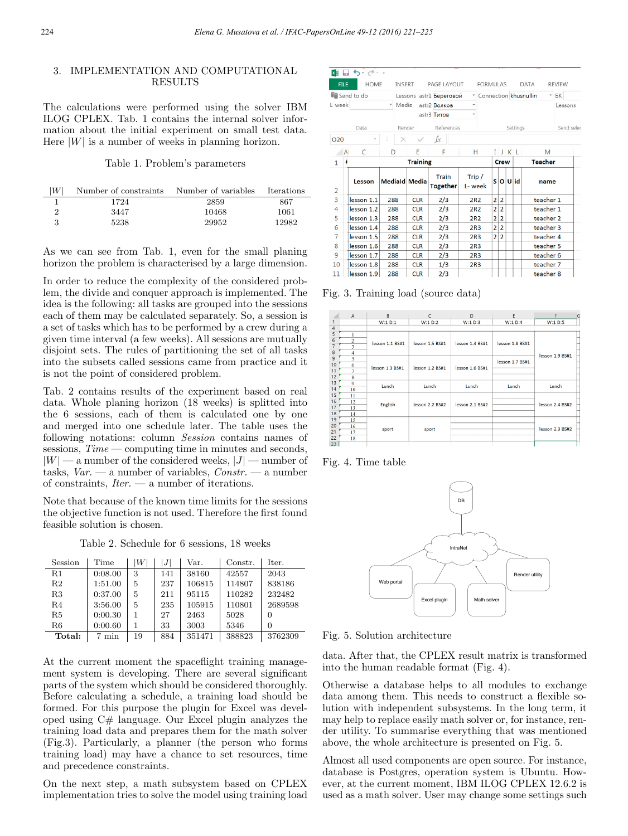## 3. IMPLEMENTATION AND COMPUTATIONAL RESULTS

The calculations were performed using the solver IBM ILOG CPLEX. Tab. 1 contains the internal solver information about the initial experiment on small test data. Here  $|W|$  is a number of weeks in planning horizon.

#### Table 1. Problem's parameters

| $\lvert W\rvert$ | Number of constraints | Number of variables | <b>Iterations</b> |
|------------------|-----------------------|---------------------|-------------------|
|                  | 1724                  | 2859                | 867               |
|                  | 3447                  | 10468               | 1061              |
|                  | 5238                  | 29952               | 12982             |

As we can see from Tab. 1, even for the small planing horizon the problem is characterised by a large dimension.

In order to reduce the complexity of the considered problem, the divide and conquer approach is implemented. The idea is the following: all tasks are grouped into the sessions each of them may be calculated separately. So, a session is a set of tasks which has to be performed by a crew during a given time interval (a few weeks). All sessions are mutually disjoint sets. The rules of partitioning the set of all tasks into the subsets called sessions came from practice and it is not the point of considered problem.

Tab. 2 contains results of the experiment based on real data. Whole planing horizon (18 weeks) is splitted into the 6 sessions, each of them is calculated one by one and merged into one schedule later. The table uses the following notations: column Session contains names of sessions,  $Time$  — computing time in minutes and seconds,  $|W|$  — a number of the considered weeks,  $|J|$  — number of tasks,  $Var.$  — a number of variables,  $Constr.$  — a number of constraints,  $Iter. - a$  number of iterations.

Note that because of the known time limits for the sessions the objective function is not used. Therefore the first found feasible solution is chosen.

Table 2. Schedule for 6 sessions, 18 weeks

| Session        | Time    | W  | J <sup>1</sup> | Var.   | Constr. | Iter.   |
|----------------|---------|----|----------------|--------|---------|---------|
| $_{\rm R1}$    | 0:08.00 | 3  | 141            | 38160  | 42557   | 2043    |
| R <sub>2</sub> | 1:51.00 | 5  | 237            | 106815 | 114807  | 838186  |
| R3             | 0:37.00 | 5  | 211            | 95115  | 110282  | 232482  |
| R4             | 3:56.00 | 5  | 235            | 105915 | 110801  | 2689598 |
| R5             | 0:00.30 | 1  | 27             | 2463   | 5028    | 0       |
| R6             | 0:00.60 |    | 33             | 3003   | 5346    | 0       |
| Total:         | min     | 19 | 884            | 351471 | 388823  | 3762309 |

At the current moment the spaceflight training management system is developing. There are several significant parts of the system which should be considered thoroughly. Before calculating a schedule, a training load should be formed. For this purpose the plugin for Excel was developed using C# language. Our Excel plugin analyzes the training load data and prepares them for the math solver (Fig.3). Particularly, a planner (the person who forms training load) may have a chance to set resources, time and precedence constraints.

On the next step, a math subsystem based on CPLEX implementation tries to solve the model using training load

|                     | ▓▌ <b>□ ゎ</b> ・♂・・           |       |        |                      |                                          |                          |                 |                  |                       |                          |  |                  |            |  |
|---------------------|------------------------------|-------|--------|----------------------|------------------------------------------|--------------------------|-----------------|------------------|-----------------------|--------------------------|--|------------------|------------|--|
| <b>FILE</b>         | <b>INSFRT</b><br>PAGE LAYOUT |       |        |                      | <b>FORMULAS</b><br>DATA<br><b>REVIEW</b> |                          |                 |                  |                       |                          |  |                  |            |  |
| Send to db          |                              |       |        |                      | Lessons astr1 <b>Береговой</b>           |                          |                 |                  | Connection khusnullin |                          |  |                  | $- BK$     |  |
| L-week              |                              | Media |        |                      | astr <sub>2</sub> Волков                 |                          |                 |                  |                       |                          |  |                  | Lessons    |  |
|                     |                              |       |        |                      |                                          | astr3 Tитов              |                 |                  |                       |                          |  |                  |            |  |
| Data                |                              |       | Render |                      | References                               |                          |                 | Settings         |                       |                          |  |                  | Send seler |  |
| <b>O20</b>          |                              |       |        |                      |                                          | $f_x$                    |                 |                  |                       |                          |  |                  |            |  |
| $\mathsf{A}$<br>C   |                              | D     |        | E                    |                                          | F<br>H<br>IJKL           |                 | M                |                       |                          |  |                  |            |  |
| $\mathbf{1}$        | ŧ                            |       |        | <b>Training</b>      |                                          |                          |                 | <b>Crew</b>      |                       |                          |  | <b>Teacher</b>   |            |  |
|                     | Lesson                       |       |        | <b>Mediald Media</b> |                                          | Train<br><b>Together</b> |                 | Trip/<br>L- week |                       |                          |  | slolulid<br>name |            |  |
| $\overline{2}$<br>3 | lesson 1.1                   | 288   |        | <b>CLR</b>           |                                          | 2/3                      | 2R <sub>2</sub> |                  | $\overline{a}$        | $\overline{2}$           |  |                  | teacher 1  |  |
| 4                   | lesson 1.2                   | 288   |        | <b>CLR</b>           |                                          | 2/3                      | 2R <sub>2</sub> | $\overline{2}$   |                       | $\overline{2}$           |  |                  | teacher 1  |  |
| 5                   | lesson 1.3                   | 288   |        | <b>CLR</b>           |                                          | 2/3                      | 2R <sub>2</sub> | $\overline{2}$   |                       | $\overline{\mathbf{2}}$  |  |                  | teacher 2  |  |
| 6                   | lesson 1.4                   | 288   |        | <b>CLR</b>           |                                          | 2/3                      | 2R <sub>3</sub> |                  | $\overline{2}$        | $\overline{2}$           |  |                  | teacher 3  |  |
| $\overline{7}$      | lesson 1.5                   | 288   |        | <b>CLR</b>           |                                          | 2/3                      | 2R <sub>3</sub> |                  | $\overline{2}$        | $\overline{\phantom{a}}$ |  |                  | teacher 4  |  |
| 8                   | lesson 1.6                   | 288   |        | <b>CLR</b>           |                                          | 2/3                      | 2R <sub>3</sub> |                  |                       |                          |  |                  | teacher 5  |  |
| 9                   | lesson 1.7                   | 288   |        | <b>CLR</b>           |                                          | 2/3                      | 2R <sub>3</sub> |                  |                       |                          |  |                  | teacher 6  |  |
| 10                  | lesson 1.8                   | 288   |        | <b>CLR</b>           |                                          | 1/3                      |                 | 2R <sub>3</sub>  |                       |                          |  |                  | teacher 7  |  |
| 11                  | lesson 1.9                   | 288   |        | <b>CLR</b>           |                                          | 2/3                      |                 |                  |                       |                          |  |                  | teacher 8  |  |

Fig. 3. Training load (source data)

|                | $\overline{A}$      | B               | C                   | D               | E               | п               | G |
|----------------|---------------------|-----------------|---------------------|-----------------|-----------------|-----------------|---|
| 1              |                     | W:1 D:1         | W:1 D:2             | W:1 D:3         | W:1 D:4         | W:1 D:5         |   |
| $\overline{4}$ |                     |                 |                     |                 |                 |                 |   |
| 5              |                     |                 |                     |                 |                 |                 |   |
| 6              | $\overline{a}$      | lesson 1.1 BS#1 | lesson 1.5 BS#1     | lesson 1.4 BS#1 | lesson 1.8 BS#1 | lesson 1.9 BS#1 |   |
| 7              | 3                   |                 |                     |                 |                 |                 |   |
| 8              | 4                   |                 |                     |                 |                 |                 |   |
| $\overline{9}$ | 5                   |                 |                     |                 | lesson 1.7 BS#1 |                 |   |
| 10             | 6                   | lesson 1.3 BS#1 | lesson 1.2 BS#1     | lesson 1.6 BS#1 |                 |                 |   |
| 11             | 7                   |                 |                     |                 |                 |                 |   |
| 12             | 8                   |                 |                     |                 |                 |                 |   |
| 13             | $\ddot{\mathbf{Q}}$ | Lunch           | Lunch               | Lunch           | Lunch           | Lunch           |   |
| 14             | 10                  |                 |                     |                 |                 |                 |   |
| 15             | $\mathbf{1}$        |                 |                     |                 |                 |                 |   |
| 16             | 12                  | English         | $lesson$ 2.2 $BS#2$ |                 |                 | lesson 2.4 BS#2 |   |
| 17             | 13                  |                 |                     | lesson 2.1 BS#2 |                 |                 |   |
| 18             | 14                  |                 |                     |                 |                 |                 |   |
| 19             | 15                  |                 |                     |                 |                 |                 |   |
| 20             | 16                  | sport           | sport               |                 |                 | lesson 2.3 BS#2 |   |
| 21             | 17                  |                 |                     |                 |                 |                 |   |
| 22             | 18                  |                 |                     |                 |                 |                 |   |
| $22 -$         |                     |                 |                     |                 |                 |                 |   |

Fig. 4. Time table



Fig. 5. Solution architecture

data. After that, the CPLEX result matrix is transformed into the human readable format (Fig. 4).

Otherwise a database helps to all modules to exchange data among them. This needs to construct a flexible solution with independent subsystems. In the long term, it may help to replace easily math solver or, for instance, render utility. To summarise everything that was mentioned above, the whole architecture is presented on Fig. 5.

Almost all used components are open source. For instance, database is Postgres, operation system is Ubuntu. However, at the current moment, IBM ILOG CPLEX 12.6.2 is used as a math solver. User may change some settings such